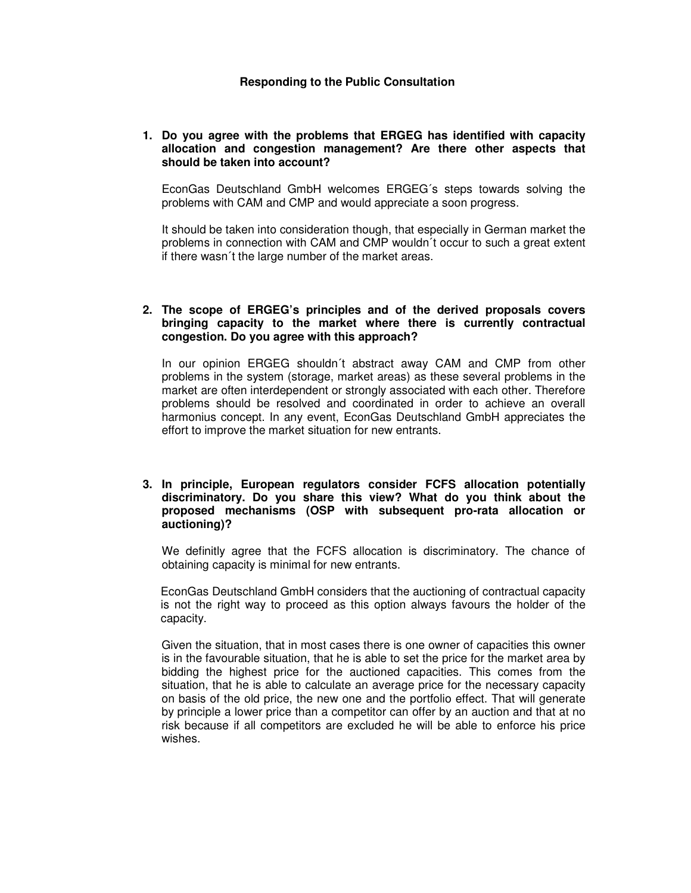#### **Responding to the Public Consultation**

#### **1. Do you agree with the problems that ERGEG has identified with capacity allocation and congestion management? Are there other aspects that should be taken into account?**

EconGas Deutschland GmbH welcomes ERGEG´s steps towards solving the problems with CAM and CMP and would appreciate a soon progress.

It should be taken into consideration though, that especially in German market the problems in connection with CAM and CMP wouldn´t occur to such a great extent if there wasn´t the large number of the market areas.

## **2. The scope of ERGEG's principles and of the derived proposals covers bringing capacity to the market where there is currently contractual congestion. Do you agree with this approach?**

In our opinion ERGEG shouldn´t abstract away CAM and CMP from other problems in the system (storage, market areas) as these several problems in the market are often interdependent or strongly associated with each other. Therefore problems should be resolved and coordinated in order to achieve an overall harmonius concept. In any event, EconGas Deutschland GmbH appreciates the effort to improve the market situation for new entrants.

# **3. In principle, European regulators consider FCFS allocation potentially discriminatory. Do you share this view? What do you think about the proposed mechanisms (OSP with subsequent pro-rata allocation or auctioning)?**

We definitly agree that the FCFS allocation is discriminatory. The chance of obtaining capacity is minimal for new entrants.

EconGas Deutschland GmbH considers that the auctioning of contractual capacity is not the right way to proceed as this option always favours the holder of the capacity.

Given the situation, that in most cases there is one owner of capacities this owner is in the favourable situation, that he is able to set the price for the market area by bidding the highest price for the auctioned capacities. This comes from the situation, that he is able to calculate an average price for the necessary capacity on basis of the old price, the new one and the portfolio effect. That will generate by principle a lower price than a competitor can offer by an auction and that at no risk because if all competitors are excluded he will be able to enforce his price wishes.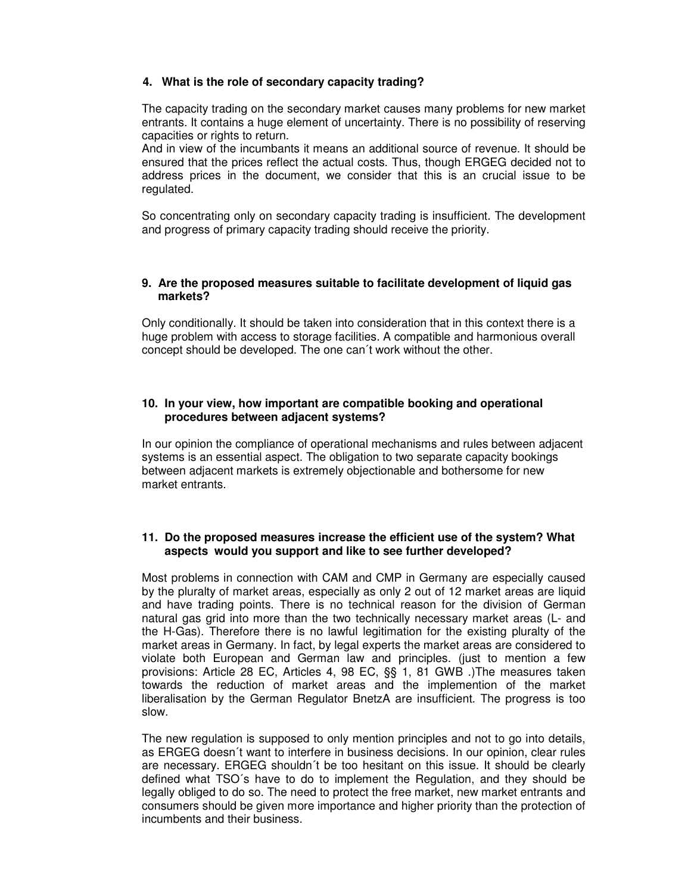# **4. What is the role of secondary capacity trading?**

The capacity trading on the secondary market causes many problems for new market entrants. It contains a huge element of uncertainty. There is no possibility of reserving capacities or rights to return.

And in view of the incumbants it means an additional source of revenue. It should be ensured that the prices reflect the actual costs. Thus, though ERGEG decided not to address prices in the document, we consider that this is an crucial issue to be regulated.

So concentrating only on secondary capacity trading is insufficient. The development and progress of primary capacity trading should receive the priority.

#### **9. Are the proposed measures suitable to facilitate development of liquid gas markets?**

Only conditionally. It should be taken into consideration that in this context there is a huge problem with access to storage facilities. A compatible and harmonious overall concept should be developed. The one can´t work without the other.

# **10. In your view, how important are compatible booking and operational procedures between adjacent systems?**

In our opinion the compliance of operational mechanisms and rules between adjacent systems is an essential aspect. The obligation to two separate capacity bookings between adjacent markets is extremely objectionable and bothersome for new market entrants.

## **11. Do the proposed measures increase the efficient use of the system? What aspects would you support and like to see further developed?**

Most problems in connection with CAM and CMP in Germany are especially caused by the pluralty of market areas, especially as only 2 out of 12 market areas are liquid and have trading points. There is no technical reason for the division of German natural gas grid into more than the two technically necessary market areas (L- and the H-Gas). Therefore there is no lawful legitimation for the existing pluralty of the market areas in Germany. In fact, by legal experts the market areas are considered to violate both European and German law and principles. (just to mention a few provisions: Article 28 EC, Articles 4, 98 EC, §§ 1, 81 GWB .)The measures taken towards the reduction of market areas and the implemention of the market liberalisation by the German Regulator BnetzA are insufficient. The progress is too slow.

The new regulation is supposed to only mention principles and not to go into details, as ERGEG doesn´t want to interfere in business decisions. In our opinion, clear rules are necessary. ERGEG shouldn´t be too hesitant on this issue. It should be clearly defined what TSO´s have to do to implement the Regulation, and they should be legally obliged to do so. The need to protect the free market, new market entrants and consumers should be given more importance and higher priority than the protection of incumbents and their business.